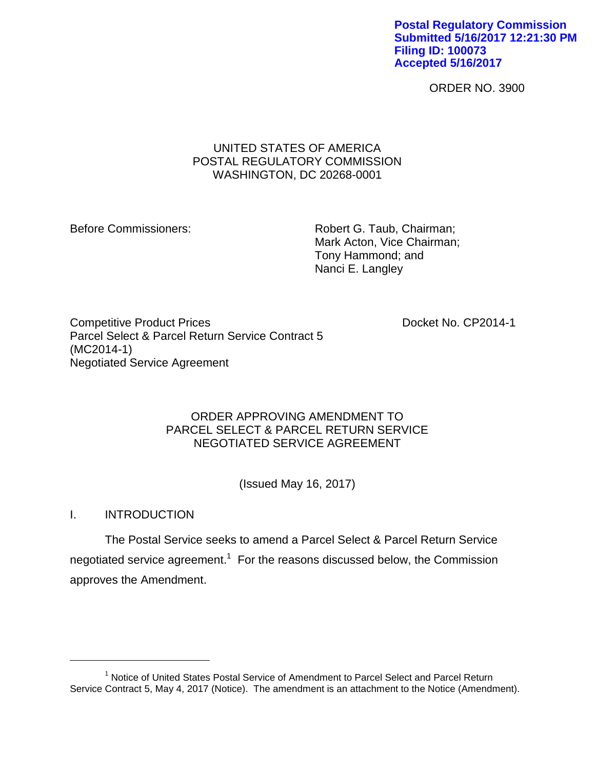**Postal Regulatory Commission Submitted 5/16/2017 12:21:30 PM Filing ID: 100073 Accepted 5/16/2017**

ORDER NO. 3900

# UNITED STATES OF AMERICA POSTAL REGULATORY COMMISSION WASHINGTON, DC 20268-0001

Before Commissioners: Robert G. Taub, Chairman; Mark Acton, Vice Chairman; Tony Hammond; and Nanci E. Langley

Competitive Product Prices **Docket No. CP2014-1** Parcel Select & Parcel Return Service Contract 5 (MC2014-1) Negotiated Service Agreement

# ORDER APPROVING AMENDMENT TO PARCEL SELECT & PARCEL RETURN SERVICE NEGOTIATED SERVICE AGREEMENT

(Issued May 16, 2017)

I. INTRODUCTION

 $\overline{a}$ 

The Postal Service seeks to amend a Parcel Select & Parcel Return Service negotiated service agreement.<sup>1</sup> For the reasons discussed below, the Commission approves the Amendment.

<sup>&</sup>lt;sup>1</sup> Notice of United States Postal Service of Amendment to Parcel Select and Parcel Return Service Contract 5, May 4, 2017 (Notice). The amendment is an attachment to the Notice (Amendment).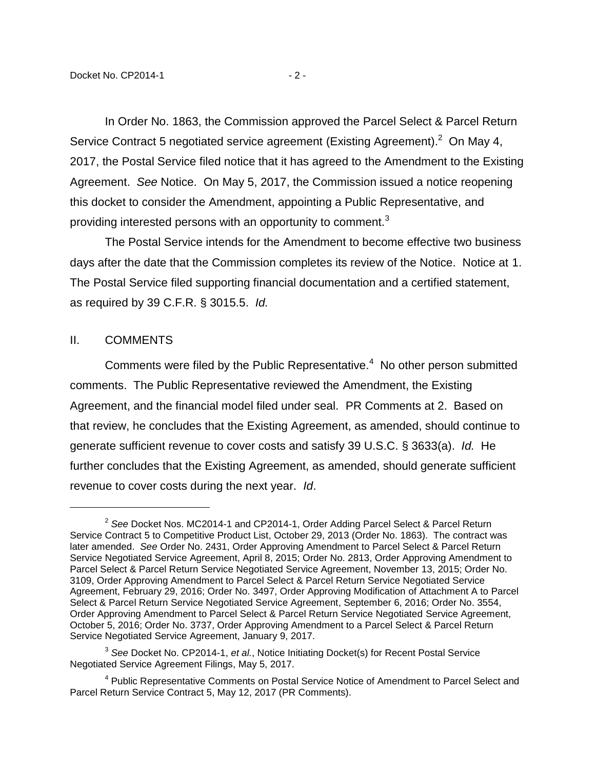In Order No. 1863, the Commission approved the Parcel Select & Parcel Return Service Contract 5 negotiated service agreement (Existing Agreement). $^2$  On May 4, 2017, the Postal Service filed notice that it has agreed to the Amendment to the Existing Agreement. *See* Notice. On May 5, 2017, the Commission issued a notice reopening this docket to consider the Amendment, appointing a Public Representative, and providing interested persons with an opportunity to comment.<sup>3</sup>

The Postal Service intends for the Amendment to become effective two business days after the date that the Commission completes its review of the Notice. Notice at 1. The Postal Service filed supporting financial documentation and a certified statement, as required by 39 C.F.R. § 3015.5. *Id.*

### II. COMMENTS

 $\overline{a}$ 

Comments were filed by the Public Representative. $4$  No other person submitted comments. The Public Representative reviewed the Amendment, the Existing Agreement, and the financial model filed under seal. PR Comments at 2. Based on that review, he concludes that the Existing Agreement, as amended, should continue to generate sufficient revenue to cover costs and satisfy 39 U.S.C. § 3633(a). *Id.* He further concludes that the Existing Agreement, as amended, should generate sufficient revenue to cover costs during the next year. *Id*.

<sup>2</sup> *See* Docket Nos. MC2014-1 and CP2014-1, Order Adding Parcel Select & Parcel Return Service Contract 5 to Competitive Product List, October 29, 2013 (Order No. 1863). The contract was later amended. *See* Order No. 2431, Order Approving Amendment to Parcel Select & Parcel Return Service Negotiated Service Agreement, April 8, 2015; Order No. 2813, Order Approving Amendment to Parcel Select & Parcel Return Service Negotiated Service Agreement, November 13, 2015; Order No. 3109, Order Approving Amendment to Parcel Select & Parcel Return Service Negotiated Service Agreement, February 29, 2016; Order No. 3497, Order Approving Modification of Attachment A to Parcel Select & Parcel Return Service Negotiated Service Agreement, September 6, 2016; Order No. 3554, Order Approving Amendment to Parcel Select & Parcel Return Service Negotiated Service Agreement, October 5, 2016; Order No. 3737, Order Approving Amendment to a Parcel Select & Parcel Return Service Negotiated Service Agreement, January 9, 2017.

<sup>3</sup> *See* Docket No. CP2014-1, *et al.*, Notice Initiating Docket(s) for Recent Postal Service Negotiated Service Agreement Filings, May 5, 2017.

<sup>&</sup>lt;sup>4</sup> Public Representative Comments on Postal Service Notice of Amendment to Parcel Select and Parcel Return Service Contract 5, May 12, 2017 (PR Comments).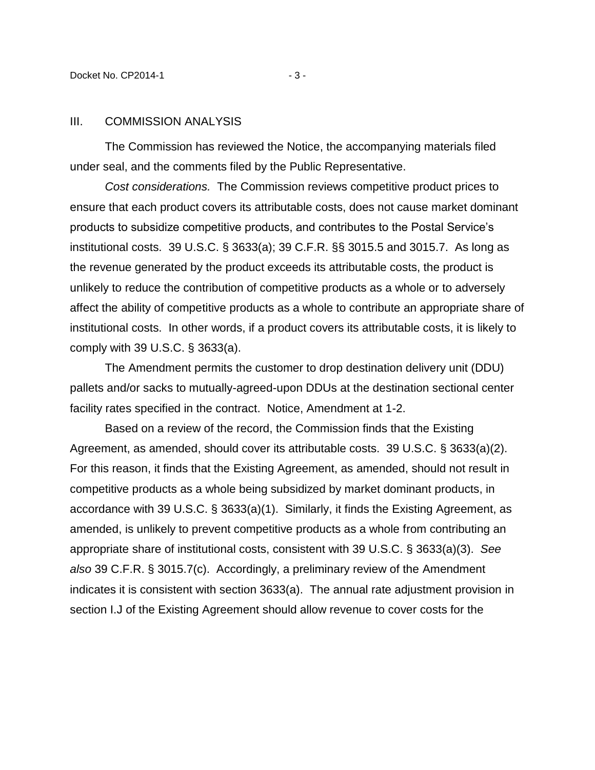#### III. COMMISSION ANALYSIS

The Commission has reviewed the Notice, the accompanying materials filed under seal, and the comments filed by the Public Representative.

*Cost considerations.* The Commission reviews competitive product prices to ensure that each product covers its attributable costs, does not cause market dominant products to subsidize competitive products, and contributes to the Postal Service's institutional costs. 39 U.S.C. § 3633(a); 39 C.F.R. §§ 3015.5 and 3015.7. As long as the revenue generated by the product exceeds its attributable costs, the product is unlikely to reduce the contribution of competitive products as a whole or to adversely affect the ability of competitive products as a whole to contribute an appropriate share of institutional costs. In other words, if a product covers its attributable costs, it is likely to comply with 39 U.S.C. § 3633(a).

The Amendment permits the customer to drop destination delivery unit (DDU) pallets and/or sacks to mutually-agreed-upon DDUs at the destination sectional center facility rates specified in the contract. Notice, Amendment at 1-2.

Based on a review of the record, the Commission finds that the Existing Agreement, as amended, should cover its attributable costs. 39 U.S.C. § 3633(a)(2). For this reason, it finds that the Existing Agreement, as amended, should not result in competitive products as a whole being subsidized by market dominant products, in accordance with 39 U.S.C. § 3633(a)(1). Similarly, it finds the Existing Agreement, as amended, is unlikely to prevent competitive products as a whole from contributing an appropriate share of institutional costs, consistent with 39 U.S.C. § 3633(a)(3). *See also* 39 C.F.R. § 3015.7(c). Accordingly, a preliminary review of the Amendment indicates it is consistent with section 3633(a). The annual rate adjustment provision in section I.J of the Existing Agreement should allow revenue to cover costs for the